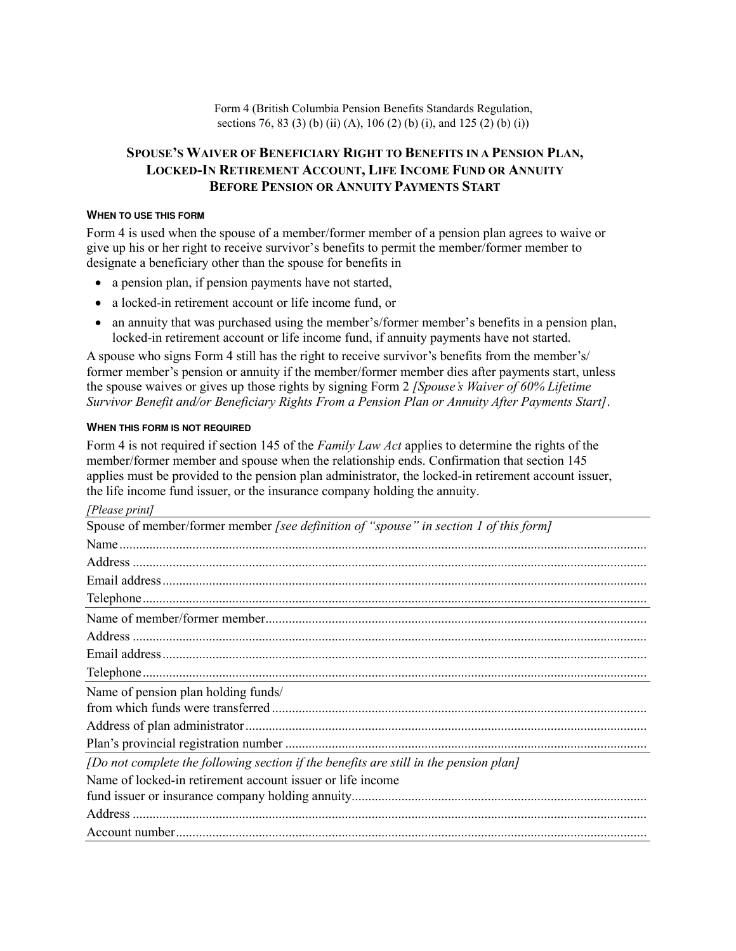Form 4 (British Columbia Pension Benefits Standards Regulation, sections 76, 83 (3) (b) (ii) (A), 106 (2) (b) (i), and 125 (2) (b) (i))

# **SPOUSE'S WAIVER OF BENEFICIARY RIGHT TO BENEFITS IN A PENSION PLAN, LOCKED-IN RETIREMENT ACCOUNT, LIFE INCOME FUND OR ANNUITY BEFORE PENSION OR ANNUITY PAYMENTS START**

# **WHEN TO USE THIS FORM**

Form 4 is used when the spouse of a member/former member of a pension plan agrees to waive or give up his or her right to receive survivor's benefits to permit the member/former member to designate a beneficiary other than the spouse for benefits in

- a pension plan, if pension payments have not started,
- a locked-in retirement account or life income fund, or
- an annuity that was purchased using the member's/former member's benefits in a pension plan, locked-in retirement account or life income fund, if annuity payments have not started.

A spouse who signs Form 4 still has the right to receive survivor's benefits from the member's/ former member's pension or annuity if the member/former member dies after payments start, unless the spouse waives or gives up those rights by signing Form 2 *[Spouse's Waiver of 60% Lifetime Survivor Benefit and/or Beneficiary Rights From a Pension Plan or Annuity After Payments Start]*.

# **WHEN THIS FORM IS NOT REQUIRED**

Form 4 is not required if section 145 of the *Family Law Act* applies to determine the rights of the member/former member and spouse when the relationship ends. Confirmation that section 145 applies must be provided to the pension plan administrator, the locked-in retirement account issuer, the life income fund issuer, or the insurance company holding the annuity.

| [Please print] |
|----------------|
|----------------|

| Spouse of member/former member [see definition of "spouse" in section 1 of this form] |
|---------------------------------------------------------------------------------------|
|                                                                                       |
|                                                                                       |
|                                                                                       |
|                                                                                       |
|                                                                                       |
|                                                                                       |
|                                                                                       |
|                                                                                       |
| Name of pension plan holding funds/                                                   |
|                                                                                       |
|                                                                                       |
|                                                                                       |
| [Do not complete the following section if the benefits are still in the pension plan] |
| Name of locked-in retirement account issuer or life income                            |
|                                                                                       |
|                                                                                       |
|                                                                                       |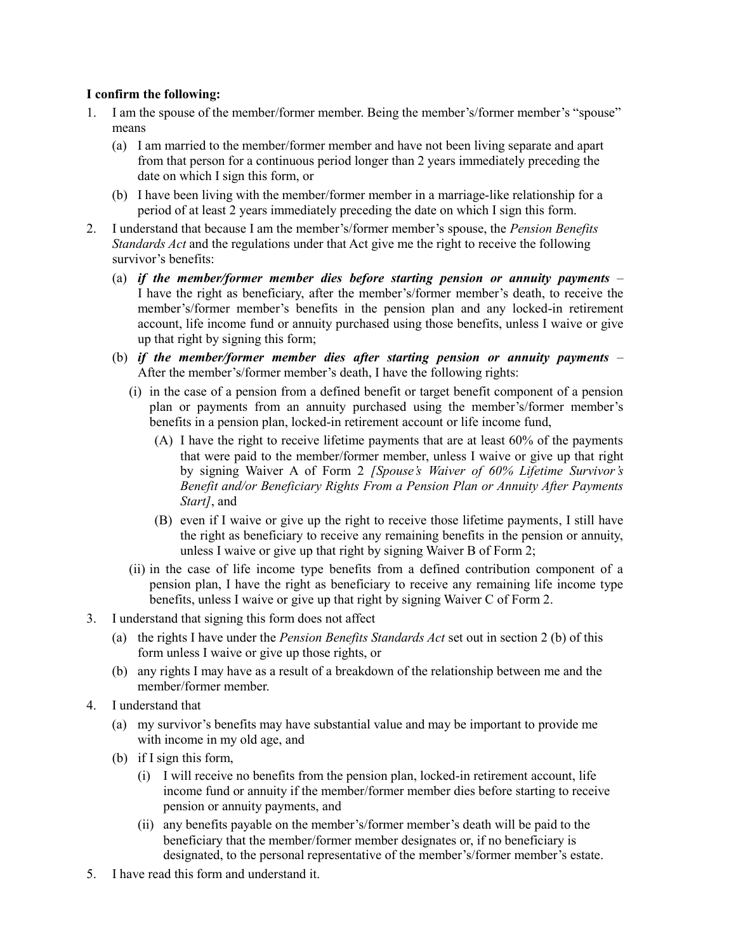# **I confirm the following:**

- 1. I am the spouse of the member/former member. Being the member's/former member's "spouse" means
	- (a) I am married to the member/former member and have not been living separate and apart from that person for a continuous period longer than 2 years immediately preceding the date on which I sign this form, or
	- (b) I have been living with the member/former member in a marriage-like relationship for a period of at least 2 years immediately preceding the date on which I sign this form.
- 2. I understand that because I am the member's/former member's spouse, the *Pension Benefits Standards Act* and the regulations under that Act give me the right to receive the following survivor's benefits:
	- (a) *if the member/former member dies before starting pension or annuity payments* I have the right as beneficiary, after the member's/former member's death, to receive the member's/former member's benefits in the pension plan and any locked-in retirement account, life income fund or annuity purchased using those benefits, unless I waive or give up that right by signing this form;
	- (b) *if the member/former member dies after starting pension or annuity payments* After the member's/former member's death, I have the following rights:
		- (i) in the case of a pension from a defined benefit or target benefit component of a pension plan or payments from an annuity purchased using the member's/former member's benefits in a pension plan, locked-in retirement account or life income fund,
			- (A) I have the right to receive lifetime payments that are at least 60% of the payments that were paid to the member/former member, unless I waive or give up that right by signing Waiver A of Form 2 *[Spouse's Waiver of 60% Lifetime Survivor's Benefit and/or Beneficiary Rights From a Pension Plan or Annuity After Payments Start]*, and
			- (B) even if I waive or give up the right to receive those lifetime payments, I still have the right as beneficiary to receive any remaining benefits in the pension or annuity, unless I waive or give up that right by signing Waiver B of Form 2;
		- (ii) in the case of life income type benefits from a defined contribution component of a pension plan, I have the right as beneficiary to receive any remaining life income type benefits, unless I waive or give up that right by signing Waiver C of Form 2.
- 3. I understand that signing this form does not affect
	- (a) the rights I have under the *Pension Benefits Standards Act* set out in section 2 (b) of this form unless I waive or give up those rights, or
	- (b) any rights I may have as a result of a breakdown of the relationship between me and the member/former member.
- 4. I understand that
	- (a) my survivor's benefits may have substantial value and may be important to provide me with income in my old age, and
	- (b) if I sign this form,
		- (i) I will receive no benefits from the pension plan, locked-in retirement account, life income fund or annuity if the member/former member dies before starting to receive pension or annuity payments, and
		- (ii) any benefits payable on the member's/former member's death will be paid to the beneficiary that the member/former member designates or, if no beneficiary is designated, to the personal representative of the member's/former member's estate.
- 5. I have read this form and understand it.